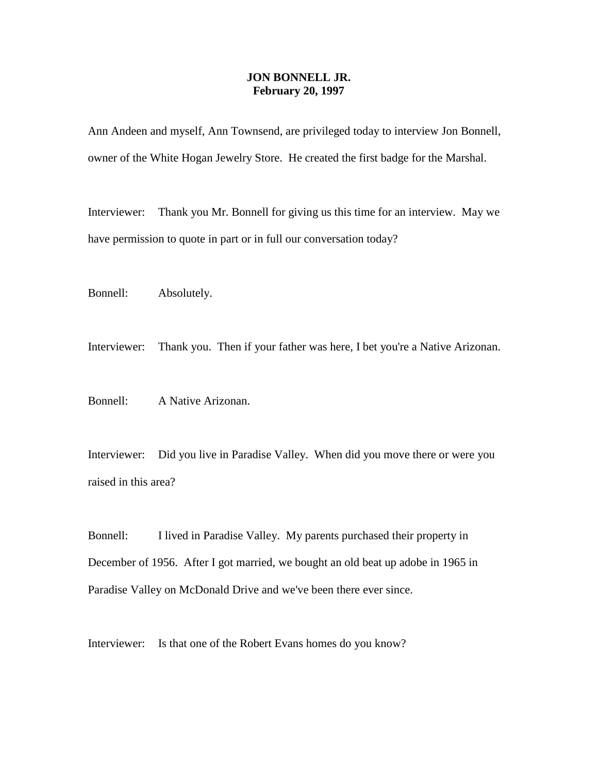## **JON BONNELL JR. February 20, 1997**

Ann Andeen and myself, Ann Townsend, are privileged today to interview Jon Bonnell, owner of the White Hogan Jewelry Store. He created the first badge for the Marshal.

Interviewer: Thank you Mr. Bonnell for giving us this time for an interview. May we have permission to quote in part or in full our conversation today?

Bonnell: Absolutely.

Interviewer: Thank you. Then if your father was here, I bet you're a Native Arizonan.

Bonnell: A Native Arizonan.

Interviewer: Did you live in Paradise Valley. When did you move there or were you raised in this area?

Bonnell: I lived in Paradise Valley. My parents purchased their property in December of 1956. After I got married, we bought an old beat up adobe in 1965 in Paradise Valley on McDonald Drive and we've been there ever since.

Interviewer: Is that one of the Robert Evans homes do you know?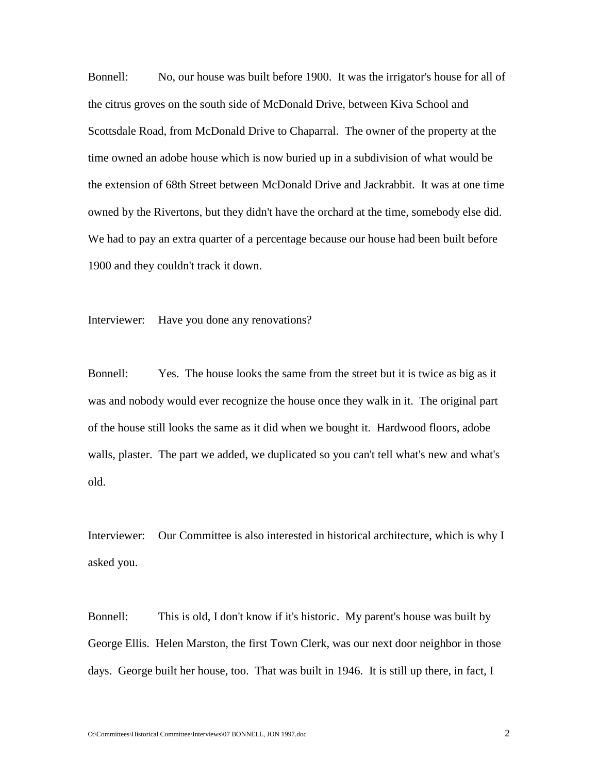Bonnell: No, our house was built before 1900. It was the irrigator's house for all of the citrus groves on the south side of McDonald Drive, between Kiva School and Scottsdale Road, from McDonald Drive to Chaparral. The owner of the property at the time owned an adobe house which is now buried up in a subdivision of what would be the extension of 68th Street between McDonald Drive and Jackrabbit. It was at one time owned by the Rivertons, but they didn't have the orchard at the time, somebody else did. We had to pay an extra quarter of a percentage because our house had been built before 1900 and they couldn't track it down.

Interviewer: Have you done any renovations?

Bonnell: Yes. The house looks the same from the street but it is twice as big as it was and nobody would ever recognize the house once they walk in it. The original part of the house still looks the same as it did when we bought it. Hardwood floors, adobe walls, plaster. The part we added, we duplicated so you can't tell what's new and what's old.

Interviewer: Our Committee is also interested in historical architecture, which is why I asked you.

Bonnell: This is old, I don't know if it's historic. My parent's house was built by George Ellis. Helen Marston, the first Town Clerk, was our next door neighbor in those days. George built her house, too. That was built in 1946. It is still up there, in fact, I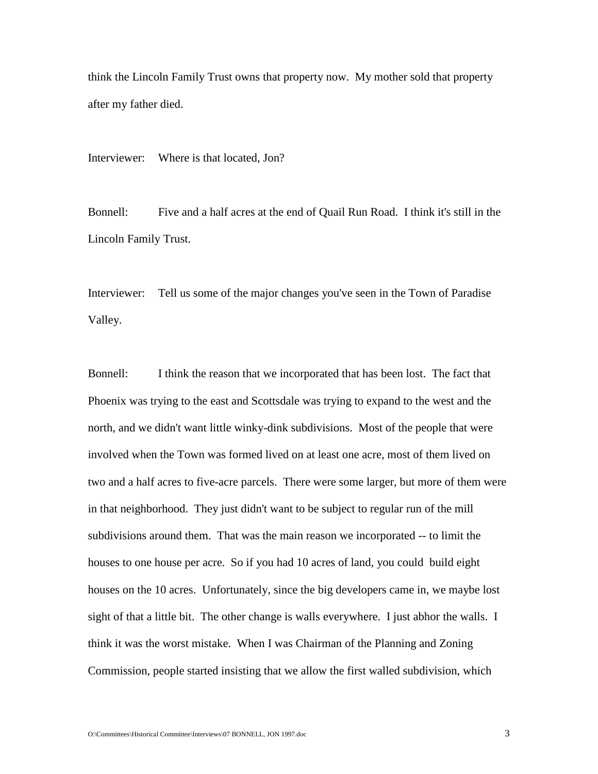think the Lincoln Family Trust owns that property now. My mother sold that property after my father died.

Interviewer: Where is that located, Jon?

Bonnell: Five and a half acres at the end of Quail Run Road. I think it's still in the Lincoln Family Trust.

Interviewer: Tell us some of the major changes you've seen in the Town of Paradise Valley.

Bonnell: I think the reason that we incorporated that has been lost. The fact that Phoenix was trying to the east and Scottsdale was trying to expand to the west and the north, and we didn't want little winky-dink subdivisions. Most of the people that were involved when the Town was formed lived on at least one acre, most of them lived on two and a half acres to five-acre parcels. There were some larger, but more of them were in that neighborhood. They just didn't want to be subject to regular run of the mill subdivisions around them. That was the main reason we incorporated -- to limit the houses to one house per acre. So if you had 10 acres of land, you could build eight houses on the 10 acres. Unfortunately, since the big developers came in, we maybe lost sight of that a little bit. The other change is walls everywhere. I just abhor the walls. I think it was the worst mistake. When I was Chairman of the Planning and Zoning Commission, people started insisting that we allow the first walled subdivision, which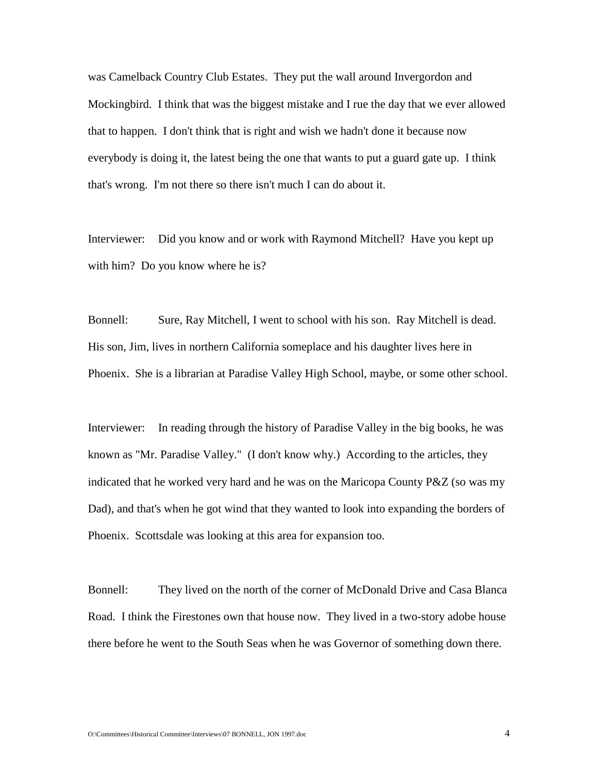was Camelback Country Club Estates. They put the wall around Invergordon and Mockingbird. I think that was the biggest mistake and I rue the day that we ever allowed that to happen. I don't think that is right and wish we hadn't done it because now everybody is doing it, the latest being the one that wants to put a guard gate up. I think that's wrong. I'm not there so there isn't much I can do about it.

Interviewer: Did you know and or work with Raymond Mitchell? Have you kept up with him? Do you know where he is?

Bonnell: Sure, Ray Mitchell, I went to school with his son. Ray Mitchell is dead. His son, Jim, lives in northern California someplace and his daughter lives here in Phoenix. She is a librarian at Paradise Valley High School, maybe, or some other school.

Interviewer: In reading through the history of Paradise Valley in the big books, he was known as "Mr. Paradise Valley." (I don't know why.) According to the articles, they indicated that he worked very hard and he was on the Maricopa County P&Z (so was my Dad), and that's when he got wind that they wanted to look into expanding the borders of Phoenix. Scottsdale was looking at this area for expansion too.

Bonnell: They lived on the north of the corner of McDonald Drive and Casa Blanca Road. I think the Firestones own that house now. They lived in a two-story adobe house there before he went to the South Seas when he was Governor of something down there.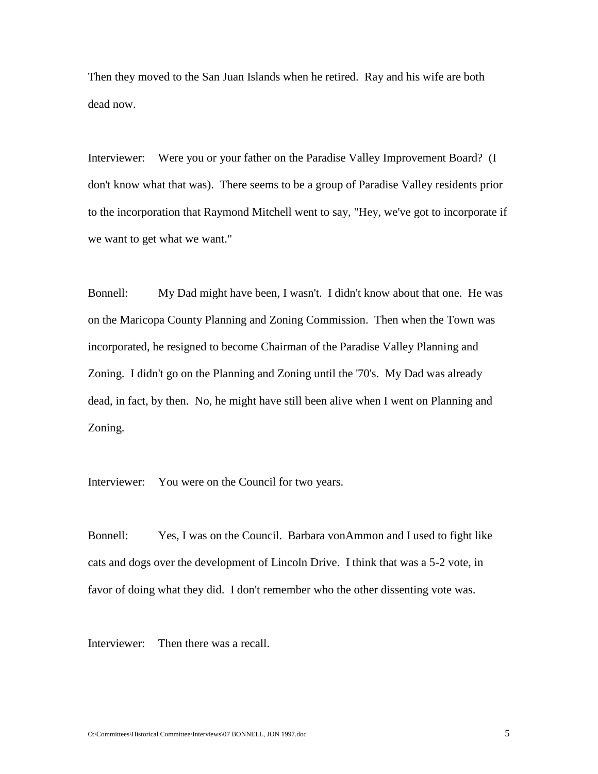Then they moved to the San Juan Islands when he retired. Ray and his wife are both dead now.

Interviewer: Were you or your father on the Paradise Valley Improvement Board? (I don't know what that was). There seems to be a group of Paradise Valley residents prior to the incorporation that Raymond Mitchell went to say, "Hey, we've got to incorporate if we want to get what we want."

Bonnell: My Dad might have been, I wasn't. I didn't know about that one. He was on the Maricopa County Planning and Zoning Commission. Then when the Town was incorporated, he resigned to become Chairman of the Paradise Valley Planning and Zoning. I didn't go on the Planning and Zoning until the '70's. My Dad was already dead, in fact, by then. No, he might have still been alive when I went on Planning and Zoning.

Interviewer: You were on the Council for two years.

Bonnell: Yes, I was on the Council. Barbara vonAmmon and I used to fight like cats and dogs over the development of Lincoln Drive. I think that was a 5-2 vote, in favor of doing what they did. I don't remember who the other dissenting vote was.

Interviewer: Then there was a recall.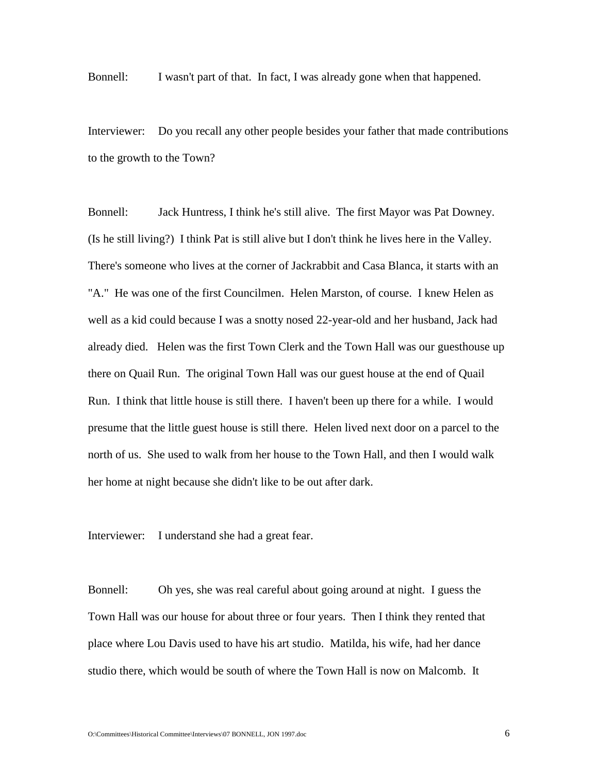Bonnell: I wasn't part of that. In fact, I was already gone when that happened.

Interviewer: Do you recall any other people besides your father that made contributions to the growth to the Town?

Bonnell: Jack Huntress, I think he's still alive. The first Mayor was Pat Downey. (Is he still living?) I think Pat is still alive but I don't think he lives here in the Valley. There's someone who lives at the corner of Jackrabbit and Casa Blanca, it starts with an "A." He was one of the first Councilmen. Helen Marston, of course. I knew Helen as well as a kid could because I was a snotty nosed 22-year-old and her husband, Jack had already died. Helen was the first Town Clerk and the Town Hall was our guesthouse up there on Quail Run. The original Town Hall was our guest house at the end of Quail Run. I think that little house is still there. I haven't been up there for a while. I would presume that the little guest house is still there. Helen lived next door on a parcel to the north of us. She used to walk from her house to the Town Hall, and then I would walk her home at night because she didn't like to be out after dark.

Interviewer: I understand she had a great fear.

Bonnell: Oh yes, she was real careful about going around at night. I guess the Town Hall was our house for about three or four years. Then I think they rented that place where Lou Davis used to have his art studio. Matilda, his wife, had her dance studio there, which would be south of where the Town Hall is now on Malcomb. It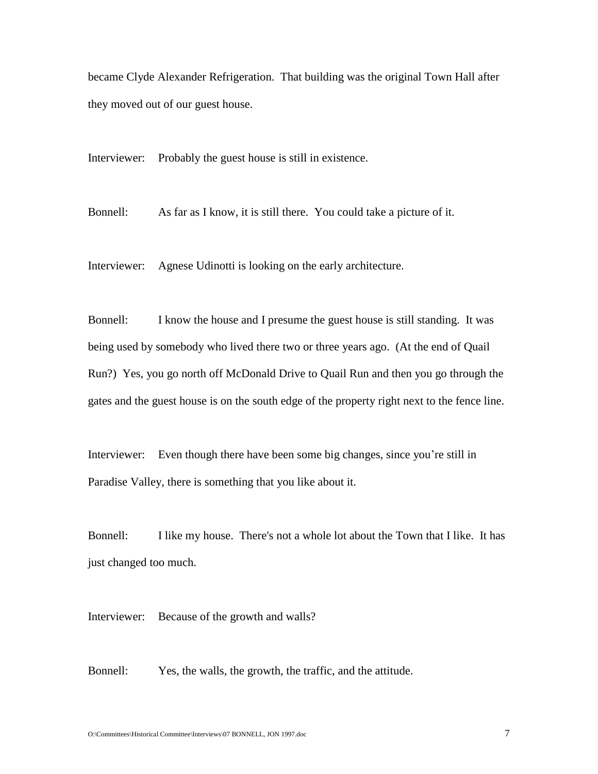became Clyde Alexander Refrigeration. That building was the original Town Hall after they moved out of our guest house.

Interviewer: Probably the guest house is still in existence.

Bonnell: As far as I know, it is still there. You could take a picture of it.

Interviewer: Agnese Udinotti is looking on the early architecture.

Bonnell: I know the house and I presume the guest house is still standing. It was being used by somebody who lived there two or three years ago. (At the end of Quail Run?) Yes, you go north off McDonald Drive to Quail Run and then you go through the gates and the guest house is on the south edge of the property right next to the fence line.

Interviewer: Even though there have been some big changes, since you're still in Paradise Valley, there is something that you like about it.

Bonnell: I like my house. There's not a whole lot about the Town that I like. It has just changed too much.

Interviewer: Because of the growth and walls?

Bonnell: Yes, the walls, the growth, the traffic, and the attitude.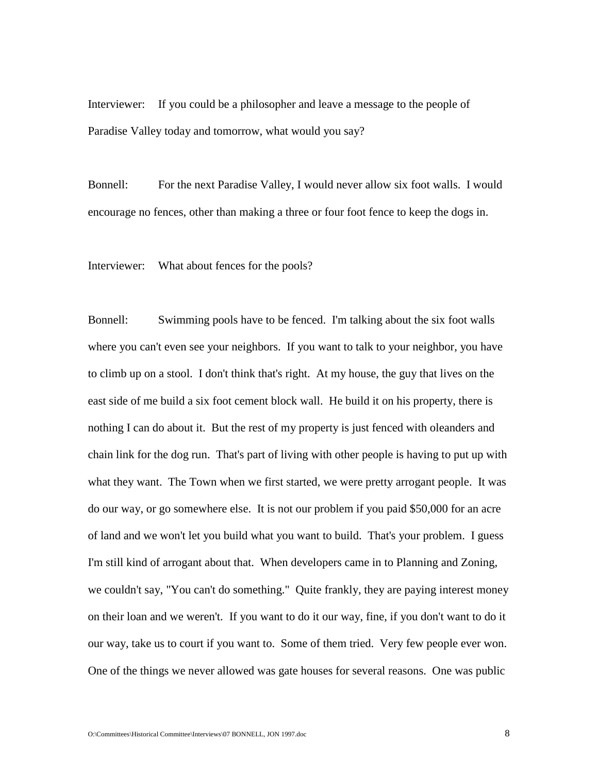Interviewer: If you could be a philosopher and leave a message to the people of Paradise Valley today and tomorrow, what would you say?

Bonnell: For the next Paradise Valley, I would never allow six foot walls. I would encourage no fences, other than making a three or four foot fence to keep the dogs in.

Interviewer: What about fences for the pools?

Bonnell: Swimming pools have to be fenced. I'm talking about the six foot walls where you can't even see your neighbors. If you want to talk to your neighbor, you have to climb up on a stool. I don't think that's right. At my house, the guy that lives on the east side of me build a six foot cement block wall. He build it on his property, there is nothing I can do about it. But the rest of my property is just fenced with oleanders and chain link for the dog run. That's part of living with other people is having to put up with what they want. The Town when we first started, we were pretty arrogant people. It was do our way, or go somewhere else. It is not our problem if you paid \$50,000 for an acre of land and we won't let you build what you want to build. That's your problem. I guess I'm still kind of arrogant about that. When developers came in to Planning and Zoning, we couldn't say, "You can't do something." Quite frankly, they are paying interest money on their loan and we weren't. If you want to do it our way, fine, if you don't want to do it our way, take us to court if you want to. Some of them tried. Very few people ever won. One of the things we never allowed was gate houses for several reasons. One was public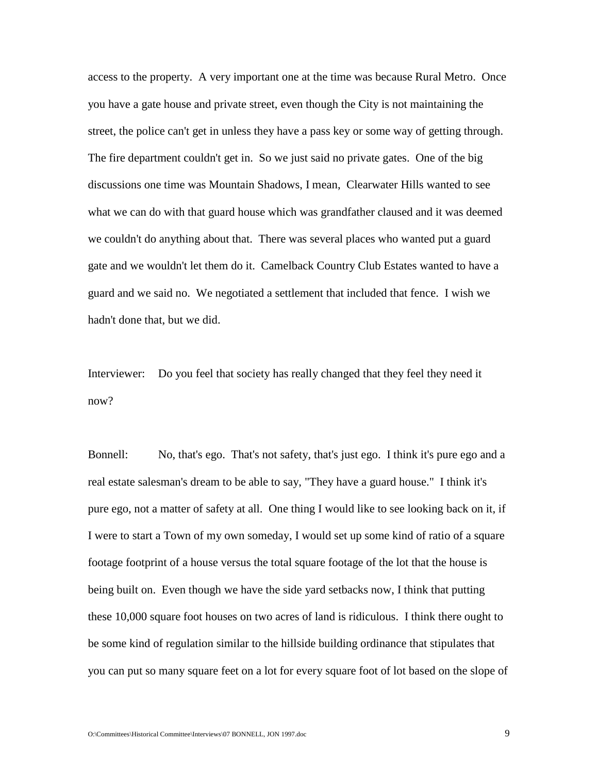access to the property. A very important one at the time was because Rural Metro. Once you have a gate house and private street, even though the City is not maintaining the street, the police can't get in unless they have a pass key or some way of getting through. The fire department couldn't get in. So we just said no private gates. One of the big discussions one time was Mountain Shadows, I mean, Clearwater Hills wanted to see what we can do with that guard house which was grandfather claused and it was deemed we couldn't do anything about that. There was several places who wanted put a guard gate and we wouldn't let them do it. Camelback Country Club Estates wanted to have a guard and we said no. We negotiated a settlement that included that fence. I wish we hadn't done that, but we did.

Interviewer: Do you feel that society has really changed that they feel they need it now?

Bonnell: No, that's ego. That's not safety, that's just ego. I think it's pure ego and a real estate salesman's dream to be able to say, "They have a guard house." I think it's pure ego, not a matter of safety at all. One thing I would like to see looking back on it, if I were to start a Town of my own someday, I would set up some kind of ratio of a square footage footprint of a house versus the total square footage of the lot that the house is being built on. Even though we have the side yard setbacks now, I think that putting these 10,000 square foot houses on two acres of land is ridiculous. I think there ought to be some kind of regulation similar to the hillside building ordinance that stipulates that you can put so many square feet on a lot for every square foot of lot based on the slope of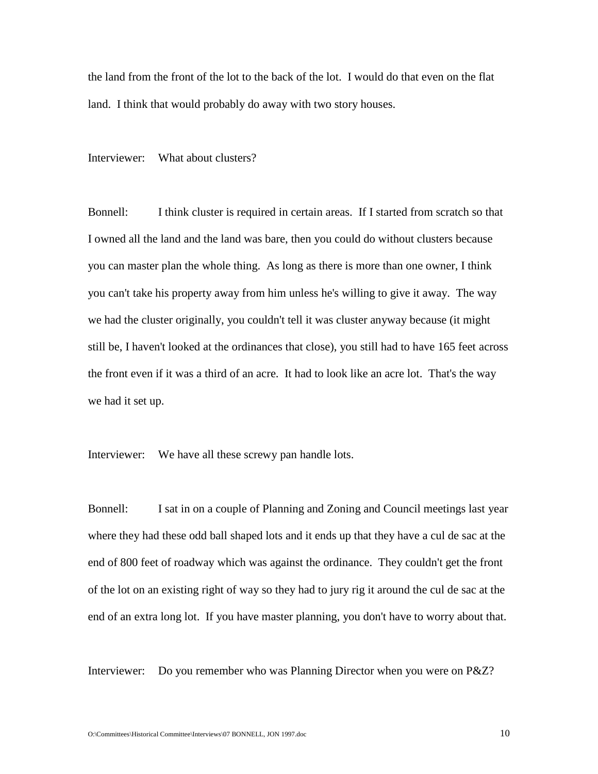the land from the front of the lot to the back of the lot. I would do that even on the flat land. I think that would probably do away with two story houses.

Interviewer: What about clusters?

Bonnell: I think cluster is required in certain areas. If I started from scratch so that I owned all the land and the land was bare, then you could do without clusters because you can master plan the whole thing. As long as there is more than one owner, I think you can't take his property away from him unless he's willing to give it away. The way we had the cluster originally, you couldn't tell it was cluster anyway because (it might still be, I haven't looked at the ordinances that close), you still had to have 165 feet across the front even if it was a third of an acre. It had to look like an acre lot. That's the way we had it set up.

Interviewer: We have all these screwy pan handle lots.

Bonnell: I sat in on a couple of Planning and Zoning and Council meetings last year where they had these odd ball shaped lots and it ends up that they have a cul de sac at the end of 800 feet of roadway which was against the ordinance. They couldn't get the front of the lot on an existing right of way so they had to jury rig it around the cul de sac at the end of an extra long lot. If you have master planning, you don't have to worry about that.

Interviewer: Do you remember who was Planning Director when you were on P&Z?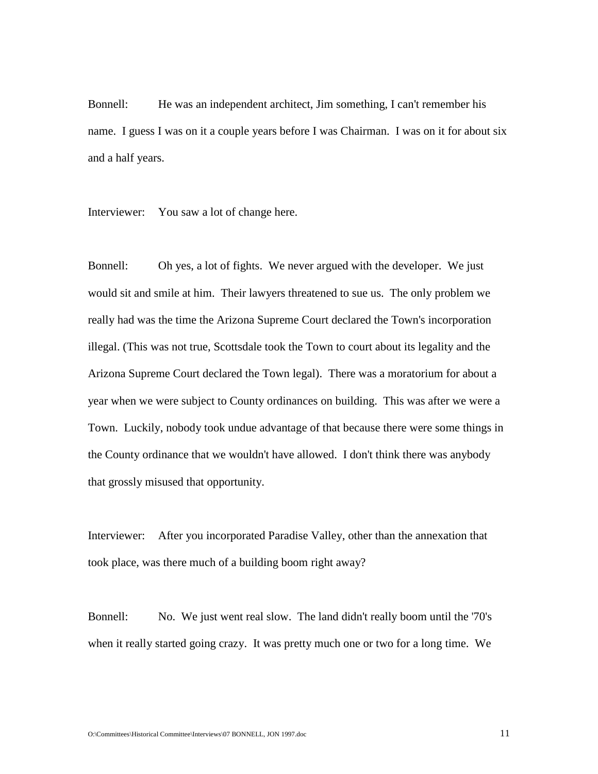Bonnell: He was an independent architect, Jim something, I can't remember his name. I guess I was on it a couple years before I was Chairman. I was on it for about six and a half years.

Interviewer: You saw a lot of change here.

Bonnell: Oh yes, a lot of fights. We never argued with the developer. We just would sit and smile at him. Their lawyers threatened to sue us. The only problem we really had was the time the Arizona Supreme Court declared the Town's incorporation illegal. (This was not true, Scottsdale took the Town to court about its legality and the Arizona Supreme Court declared the Town legal). There was a moratorium for about a year when we were subject to County ordinances on building. This was after we were a Town. Luckily, nobody took undue advantage of that because there were some things in the County ordinance that we wouldn't have allowed. I don't think there was anybody that grossly misused that opportunity.

Interviewer: After you incorporated Paradise Valley, other than the annexation that took place, was there much of a building boom right away?

Bonnell: No. We just went real slow. The land didn't really boom until the '70's when it really started going crazy. It was pretty much one or two for a long time. We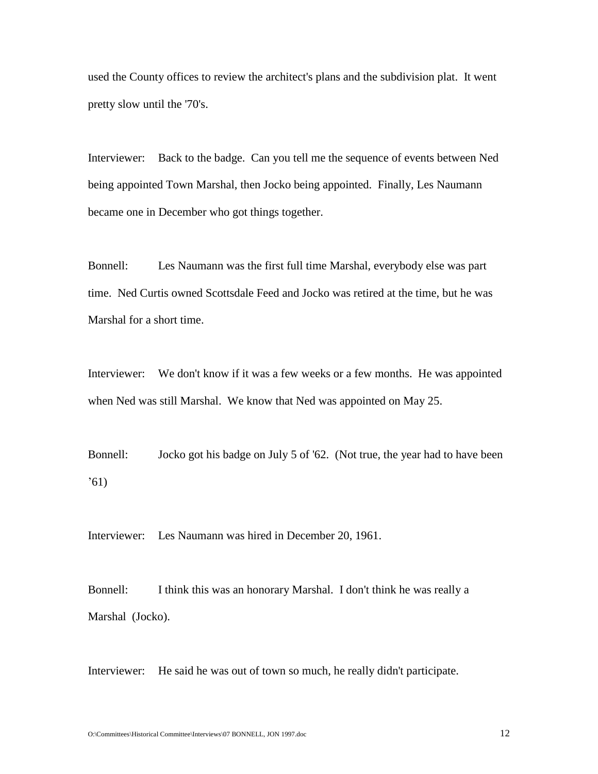used the County offices to review the architect's plans and the subdivision plat. It went pretty slow until the '70's.

Interviewer: Back to the badge. Can you tell me the sequence of events between Ned being appointed Town Marshal, then Jocko being appointed. Finally, Les Naumann became one in December who got things together.

Bonnell: Les Naumann was the first full time Marshal, everybody else was part time. Ned Curtis owned Scottsdale Feed and Jocko was retired at the time, but he was Marshal for a short time.

Interviewer: We don't know if it was a few weeks or a few months. He was appointed when Ned was still Marshal. We know that Ned was appointed on May 25.

Bonnell: Jocko got his badge on July 5 of '62. (Not true, the year had to have been  $(61)$ 

Interviewer: Les Naumann was hired in December 20, 1961.

Bonnell: I think this was an honorary Marshal. I don't think he was really a Marshal (Jocko).

Interviewer: He said he was out of town so much, he really didn't participate.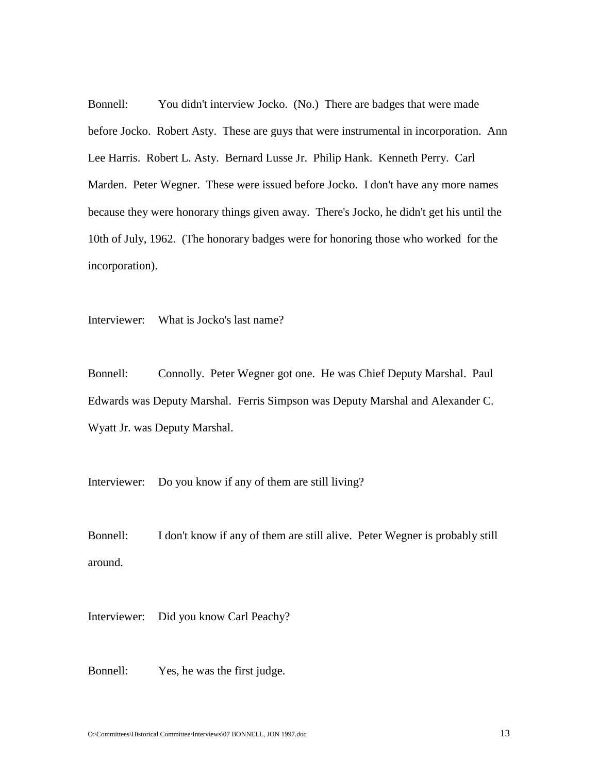Bonnell: You didn't interview Jocko. (No.) There are badges that were made before Jocko. Robert Asty. These are guys that were instrumental in incorporation. Ann Lee Harris. Robert L. Asty. Bernard Lusse Jr. Philip Hank. Kenneth Perry. Carl Marden. Peter Wegner. These were issued before Jocko. I don't have any more names because they were honorary things given away. There's Jocko, he didn't get his until the 10th of July, 1962. (The honorary badges were for honoring those who worked for the incorporation).

Interviewer: What is Jocko's last name?

Bonnell: Connolly. Peter Wegner got one. He was Chief Deputy Marshal. Paul Edwards was Deputy Marshal. Ferris Simpson was Deputy Marshal and Alexander C. Wyatt Jr. was Deputy Marshal.

Interviewer: Do you know if any of them are still living?

Bonnell: I don't know if any of them are still alive. Peter Wegner is probably still around.

Interviewer: Did you know Carl Peachy?

Bonnell: Yes, he was the first judge.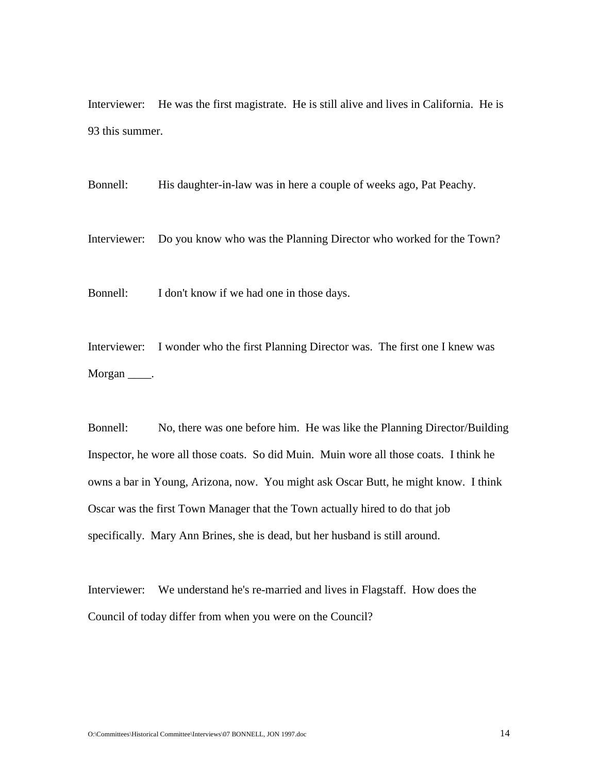Interviewer: He was the first magistrate. He is still alive and lives in California. He is 93 this summer.

Bonnell: His daughter-in-law was in here a couple of weeks ago, Pat Peachy.

Interviewer: Do you know who was the Planning Director who worked for the Town?

Bonnell: I don't know if we had one in those days.

Interviewer: I wonder who the first Planning Director was. The first one I knew was Morgan \_\_\_\_\_.

Bonnell: No, there was one before him. He was like the Planning Director/Building Inspector, he wore all those coats. So did Muin. Muin wore all those coats. I think he owns a bar in Young, Arizona, now. You might ask Oscar Butt, he might know. I think Oscar was the first Town Manager that the Town actually hired to do that job specifically. Mary Ann Brines, she is dead, but her husband is still around.

Interviewer: We understand he's re-married and lives in Flagstaff. How does the Council of today differ from when you were on the Council?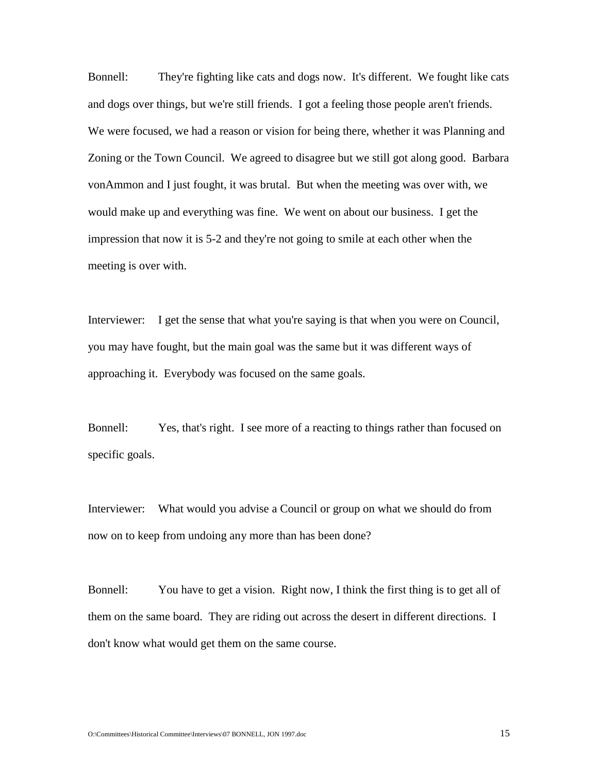Bonnell: They're fighting like cats and dogs now. It's different. We fought like cats and dogs over things, but we're still friends. I got a feeling those people aren't friends. We were focused, we had a reason or vision for being there, whether it was Planning and Zoning or the Town Council. We agreed to disagree but we still got along good. Barbara vonAmmon and I just fought, it was brutal. But when the meeting was over with, we would make up and everything was fine. We went on about our business. I get the impression that now it is 5-2 and they're not going to smile at each other when the meeting is over with.

Interviewer: I get the sense that what you're saying is that when you were on Council, you may have fought, but the main goal was the same but it was different ways of approaching it. Everybody was focused on the same goals.

Bonnell: Yes, that's right. I see more of a reacting to things rather than focused on specific goals.

Interviewer: What would you advise a Council or group on what we should do from now on to keep from undoing any more than has been done?

Bonnell: You have to get a vision. Right now, I think the first thing is to get all of them on the same board. They are riding out across the desert in different directions. I don't know what would get them on the same course.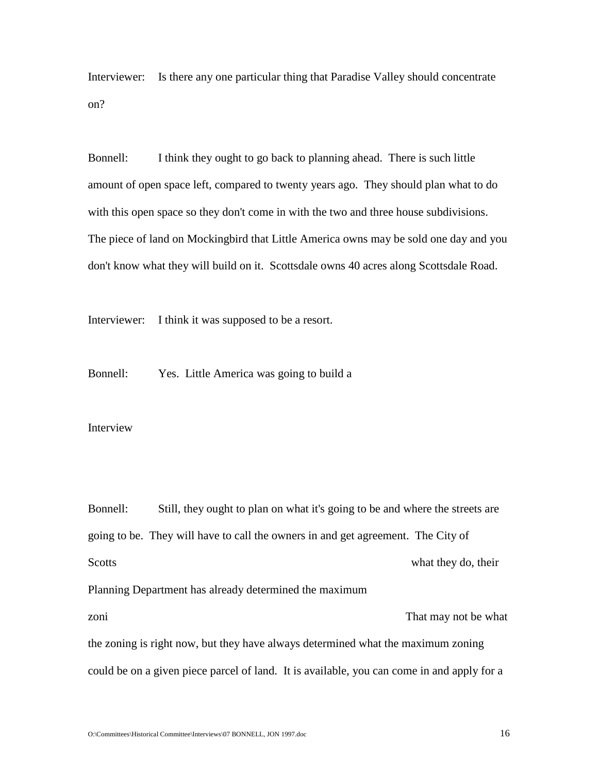Interviewer: Is there any one particular thing that Paradise Valley should concentrate on?

Bonnell: I think they ought to go back to planning ahead. There is such little amount of open space left, compared to twenty years ago. They should plan what to do with this open space so they don't come in with the two and three house subdivisions. The piece of land on Mockingbird that Little America owns may be sold one day and you don't know what they will build on it. Scottsdale owns 40 acres along Scottsdale Road.

Interviewer: I think it was supposed to be a resort.

Bonnell: Yes. Little America was going to build a

Interview

Bonnell: Still, they ought to plan on what it's going to be and where the streets are going to be. They will have to call the owners in and get agreement. The City of Scotts what they do, their Planning Department has already determined the maximum zoni zoni za zami za kutha wa kutha wa kutha wa kutha wa kutha wa kutha wa kutha wa kutha wa kutha wa kutha wa kutha wa kutha wa kutha wa kutha wa kutha wa kutha wa kutha wa kutha wa kutha wa kutha wa kutha wa kutha wa kut the zoning is right now, but they have always determined what the maximum zoning could be on a given piece parcel of land. It is available, you can come in and apply for a